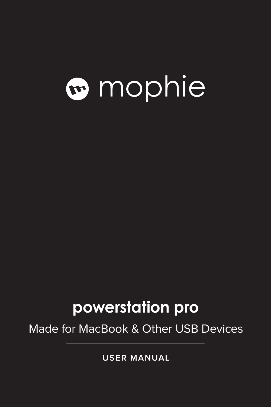# **B** mophie

### **powerstation pro**

Made for MacBook & Other USB Devices

**USER MANUAL**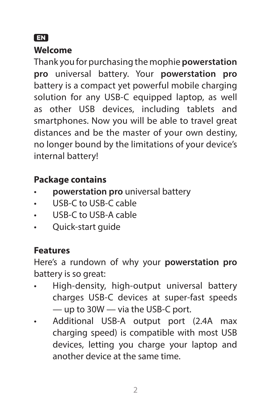#### **EN**

#### **Welcome**

Thank you for purchasing the mophie **powerstation pro** universal battery. Your **powerstation pro** battery is a compact yet powerful mobile charging solution for any USB-C equipped laptop, as well as other USB devices, including tablets and smartphones. Now you will be able to travel great distances and be the master of your own destiny, no longer bound by the limitations of your device's internal battery!

#### **Package contains**

- **powerstation pro** universal battery
- USB-C to USB-C cable
- USB-C to USB-A cable
- Quick-start quide

#### **Features**

Here's a rundown of why your **powerstation pro** battery is so great:

- High-density, high-output universal battery charges USB-C devices at super-fast speeds — up to 30W — via the USB-C port.
- Additional USB-A output port (2.4A max charging speed) is compatible with most USB devices, letting you charge your laptop and another device at the same time.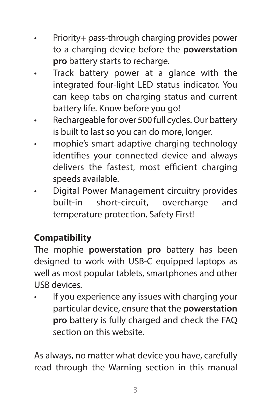- Priority+ pass-through charging provides power to a charging device before the **powerstation pro** battery starts to recharge.
- Track battery power at a glance with the integrated four-light LED status indicator. You can keep tabs on charging status and current battery life. Know before you go!
- Rechargeable for over 500 full cycles. Our battery is built to last so you can do more, longer.
- mophie's smart adaptive charging technology identifies your connected device and always delivers the fastest, most efficient charging speeds available.
- Digital Power Management circuitry provides built-in short-circuit, overcharge and temperature protection. Safety First!

#### **Compatibility**

The mophie **powerstation pro** battery has been designed to work with USB-C equipped laptops as well as most popular tablets, smartphones and other USB devices.

If you experience any issues with charging your particular device, ensure that the **powerstation pro** battery is fully charged and check the FAQ section on this website.

As always, no matter what device you have, carefully read through the Warning section in this manual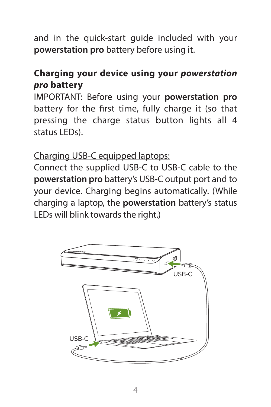and in the quick-start guide included with your **powerstation pro** battery before using it.

#### **Charging your device using your** *powerstation pro* **battery**

IMPORTANT: Before using your **powerstation pro** battery for the first time, fully charge it (so that pressing the charge status button lights all 4 status LEDs).

Charging USB-C equipped laptops:

Connect the supplied USB-C to USB-C cable to the **powerstation pro** battery's USB-C output port and to your device. Charging begins automatically. (While charging a laptop, the **powerstation** battery's status LEDs will blink towards the right.)

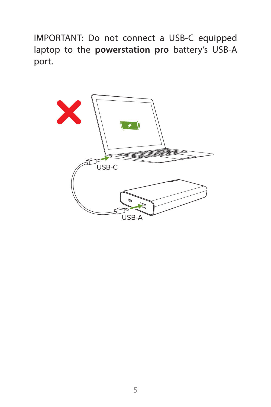IMPORTANT: Do not connect a USB-C equipped laptop to the **powerstation pro** battery's USB-A port.

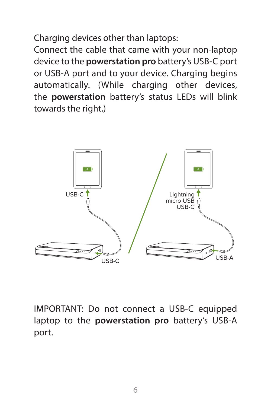Charging devices other than laptops:

Connect the cable that came with your non-laptop device to the **powerstation pro** battery's USB-C port or USB-A port and to your device. Charging begins automatically. (While charging other devices, the **powerstation** battery's status LEDs will blink towards the right.)



IMPORTANT: Do not connect a USB-C equipped laptop to the **powerstation pro** battery's USB-A port.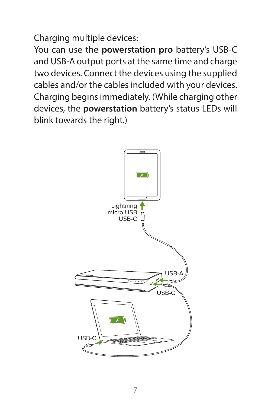Charging multiple devices:

You can use the **powerstation pro** battery's USB-C and USB-A output ports at the same time and charge two devices. Connect the devices using the supplied cables and/or the cables included with your devices. Charging begins immediately. (While charging other devices, the **powerstation** battery's status LEDs will blink towards the right.)

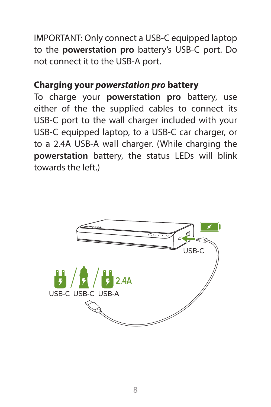IMPORTANT: Only connect a USB-C equipped laptop to the **powerstation pro** battery's USB-C port. Do not connect it to the USB-A port.

#### **Charging your** *powerstation pro* **battery**

To charge your **powerstation pro** battery, use either of the the supplied cables to connect its USB-C port to the wall charger included with your USB-C equipped laptop, to a USB-C car charger, or to a 2.4A USB-A wall charger. (While charging the **powerstation** battery, the status LEDs will blink towards the left.)

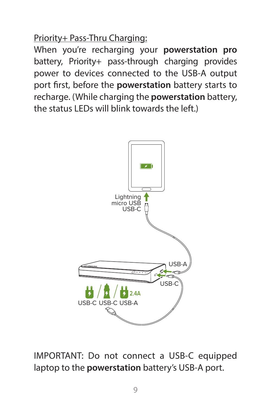Priority+ Pass-Thru Charging:

When you're recharging your **powerstation pro** battery, Priority+ pass-through charging provides power to devices connected to the USB-A output port first, before the **powerstation** battery starts to recharge. (While charging the **powerstation** battery, the status LEDs will blink towards the left.)



IMPORTANT: Do not connect a USB-C equipped laptop to the **powerstation** battery's USB-A port.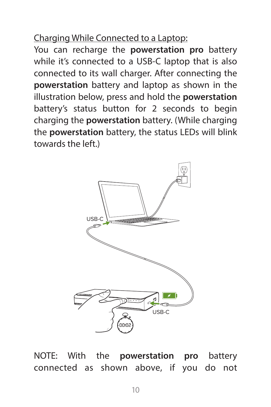Charging While Connected to a Laptop:

You can recharge the **powerstation pro** battery while it's connected to a USB-C laptop that is also connected to its wall charger. After connecting the **powerstation** battery and laptop as shown in the illustration below, press and hold the **powerstation**  battery's status button for 2 seconds to begin charging the **powerstation** battery. (While charging the **powerstation** battery, the status LEDs will blink towards the left.)



NOTE: With the **powerstation pro** battery connected as shown above, if you do not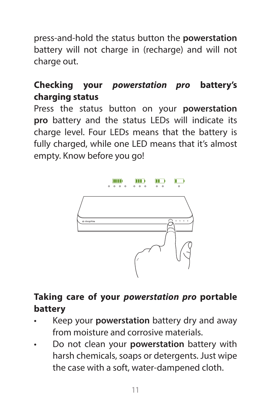press-and-hold the status button the **powerstation**  battery will not charge in (recharge) and will not charge out.

#### **Checking your** *powerstation pro* **battery's charging status**

Press the status button on your **powerstation pro** battery and the status LEDs will indicate its charge level. Four LEDs means that the battery is fully charged, while one LED means that it's almost empty. Know before you go!



#### **Taking care of your** *powerstation pro* **portable battery**

- Keep your **powerstation** battery dry and away from moisture and corrosive materials.
- Do not clean your **powerstation** battery with harsh chemicals, soaps or detergents. Just wipe the case with a soft, water-dampened cloth.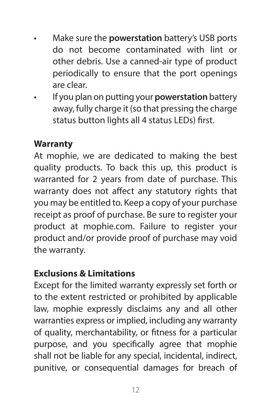- Make sure the **powerstation** battery's USB ports do not become contaminated with lint or other debris. Use a canned-air type of product periodically to ensure that the port openings are clear.
- If you plan on putting your **powerstation** battery away, fully charge it (so that pressing the charge status button lights all 4 status LEDs) first.

#### **Warranty**

At mophie, we are dedicated to making the best quality products. To back this up, this product is warranted for 2 years from date of purchase. This warranty does not affect any statutory rights that you may be entitled to. Keep a copy of your purchase receipt as proof of purchase. Be sure to register your product at mophie.com. Failure to register your product and/or provide proof of purchase may void the warranty.

#### **Exclusions & Limitations**

Except for the limited warranty expressly set forth or to the extent restricted or prohibited by applicable law, mophie expressly disclaims any and all other warranties express or implied, including any warranty of quality, merchantability, or fitness for a particular purpose, and you specifically agree that mophie shall not be liable for any special, incidental, indirect, punitive, or consequential damages for breach of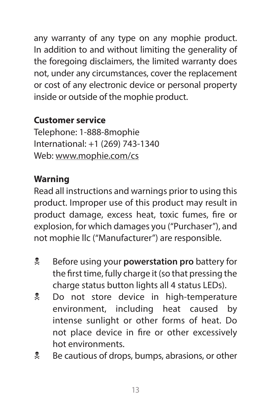any warranty of any type on any mophie product. In addition to and without limiting the generality of the foregoing disclaimers, the limited warranty does not, under any circumstances, cover the replacement or cost of any electronic device or personal property inside or outside of the mophie product.

#### **Customer service**

Telephone: 1-888-8mophie International: +1 (269) 743-1340 Web: www.mophie.com/cs

#### **Warning**

Read all instructions and warnings prior to using this product. Improper use of this product may result in product damage, excess heat, toxic fumes, fire or explosion, for which damages you ("Purchaser"), and not mophie llc ("Manufacturer") are responsible.

- **EX** Before using your **powerstation pro** battery for the first time, fully charge it (so that pressing the charge status button lights all 4 status LEDs).
- **L** Do not store device in high-temperature environment, including heat caused by intense sunlight or other forms of heat. Do not place device in fire or other excessively hot environments.
- **EX** Be cautious of drops, bumps, abrasions, or other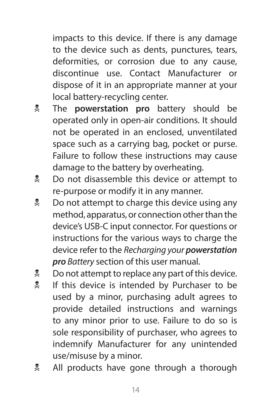impacts to this device. If there is any damage to the device such as dents, punctures, tears, deformities, or corrosion due to any cause, discontinue use. Contact Manufacturer or dispose of it in an appropriate manner at your local battery-recycling center.

- **E** The **powerstation pro** battery should be operated only in open-air conditions. It should not be operated in an enclosed, unventilated space such as a carrying bag, pocket or purse. Failure to follow these instructions may cause damage to the battery by overheating.
- **D** Do not disassemble this device or attempt to re-purpose or modify it in any manner.
- $\frac{1}{2}$  Do not attempt to charge this device using any method, apparatus, or connection other than the device's USB-C input connector. For questions or instructions for the various ways to charge the device refer to the *Recharging your powerstation pro Battery* section of this user manual.
- $\stackrel{\bullet}{\bullet}$  Do not attempt to replace any part of this device.
- **If this device is intended by Purchaser to be** used by a minor, purchasing adult agrees to provide detailed instructions and warnings to any minor prior to use. Failure to do so is sole responsibility of purchaser, who agrees to indemnify Manufacturer for any unintended use/misuse by a minor.
- **All products have gone through a thorough**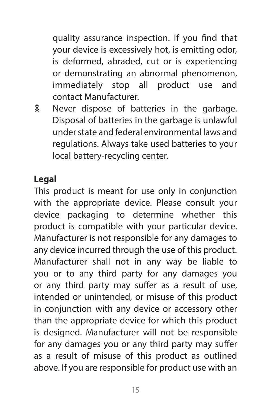quality assurance inspection. If you find that your device is excessively hot, is emitting odor, is deformed, abraded, cut or is experiencing or demonstrating an abnormal phenomenon, immediately stop all product use and contact Manufacturer.

**R** Never dispose of batteries in the garbage. Disposal of batteries in the garbage is unlawful under state and federal environmental laws and regulations. Always take used batteries to your local battery-recycling center.

#### **Legal**

This product is meant for use only in conjunction with the appropriate device. Please consult your device packaging to determine whether this product is compatible with your particular device. Manufacturer is not responsible for any damages to any device incurred through the use of this product. Manufacturer shall not in any way be liable to you or to any third party for any damages you or any third party may suffer as a result of use, intended or unintended, or misuse of this product in conjunction with any device or accessory other than the appropriate device for which this product is designed. Manufacturer will not be responsible for any damages you or any third party may suffer as a result of misuse of this product as outlined above. If you are responsible for product use with an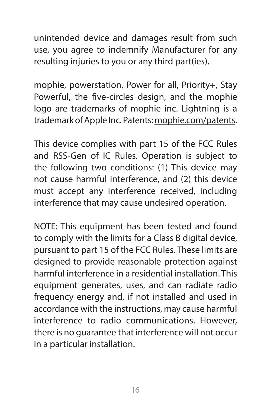unintended device and damages result from such use, you agree to indemnify Manufacturer for any resulting injuries to you or any third part(ies).

mophie, powerstation, Power for all, Priority+, Stay Powerful, the five-circles design, and the mophie logo are trademarks of mophie inc. Lightning is a trademark of Apple Inc. Patents: mophie.com/patents.

This device complies with part 15 of the FCC Rules and RSS-Gen of IC Rules. Operation is subject to the following two conditions: (1) This device may not cause harmful interference, and (2) this device must accept any interference received, including interference that may cause undesired operation.

NOTE: This equipment has been tested and found to comply with the limits for a Class B digital device, pursuant to part 15 of the FCC Rules. These limits are designed to provide reasonable protection against harmful interference in a residential installation. This equipment generates, uses, and can radiate radio frequency energy and, if not installed and used in accordance with the instructions, may cause harmful interference to radio communications. However, there is no guarantee that interference will not occur in a particular installation.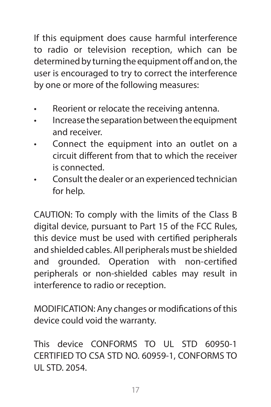If this equipment does cause harmful interference to radio or television reception, which can be determined by turning the equipment off and on, the user is encouraged to try to correct the interference by one or more of the following measures:

- Reorient or relocate the receiving antenna.
- Increase the separation between the equipment and receiver.
- Connect the equipment into an outlet on a circuit different from that to which the receiver is connected.
- Consult the dealer or an experienced technician for help.

CAUTION: To comply with the limits of the Class B digital device, pursuant to Part 15 of the FCC Rules, this device must be used with certified peripherals and shielded cables. All peripherals must be shielded and grounded. Operation with non-certified peripherals or non-shielded cables may result in interference to radio or reception.

MODIFICATION: Any changes or modifications of this device could void the warranty.

This device CONFORMS TO UL STD 60950-1 CERTIFIED TO CSA STD NO. 60959-1, CONFORMS TO UL STD. 2054.